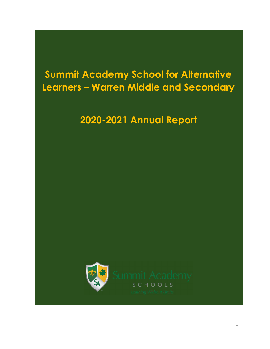# Summit Academy School for Alternative Learners – Warren Middle and Secondary

## 2020-2021 Annual Report

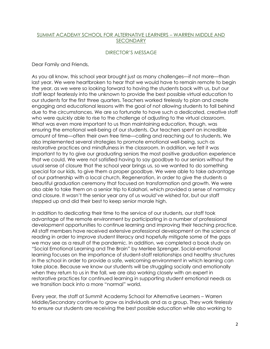#### SUMMIT ACADEMY SCHOOL FOR ALTERNATIVE LEARNERS – WARREN MIDDLE AND SECONDARY

#### DIRECTOR'S MESSAGE

Dear Family and Friends,

As you all know, this school year brought just as many challenges—if not more—than last year. We were heartbroken to hear that we would have to remain remote to begin the year, as we were so looking forward to having the students back with us, but our staff leapt fearlessly into the unknown to provide the best possible virtual education to our students for the first three quarters. Teachers worked tirelessly to plan and create engaging and educational lessons with the goal of not allowing students to fall behind due to the circumstances. We are so fortunate to have such a dedicated, creative staff who were quickly able to rise to the challenge of adjusting to the virtual classroom. What was even more important to us than maintaining education, though, was ensuring the emotional well-being of our students. Our teachers spent an incredible amount of time—often their own free time—calling and reaching out to students. We also implemented several strategies to promote emotional well-being, such as restorative practices and mindfulness in the classroom. In addition, we felt it was important to try to give our graduating seniors the most positive graduation experience that we could. We were not satisfied having to say goodbye to our seniors without the usual sense of closure that the school year brings us, so we wanted to do something special for our kids, to give them a proper goodbye. We were able to take advantage of our partnership with a local church, Regeneration, in order to give the students a beautiful graduation ceremony that focused on transformation and growth. We were also able to take them on a senior trip to Kalahari, which provided a sense of normalcy and closure. It wasn't the senior year any of us would've wished for, but our staff stepped up and did their best to keep senior morale high.

In addition to dedicating their time to the service of our students, our staff took advantage of the remote environment by participating in a number of professional development opportunities to continue learning and improving their teaching practice. All staff members have received extensive professional development on the science of reading in order to improve student literacy and hopefully mitigate some of the gaps we may see as a result of the pandemic. In addition, we completed a book study on "Social Emotional Learning and The Brain" by Merilee Sprenger. Social-emotional learning focuses on the importance of student-staff relationships and healthy structures in the school in order to provide a safe, welcoming environment in which learning can take place. Because we know our students will be struggling socially and emotionally when they return to us in the fall, we are also working closely with an expert in restorative practices for continued learning in supporting student emotional needs as we transition back into a more "normal" world.

Every year, the staff at Summit Academy School for Alternative Learners – Warren Middle/Secondary continue to grow as individuals and as a group. They work tirelessly to ensure our students are receiving the best possible education while also working to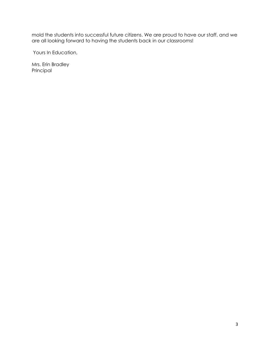mold the students into successful future citizens. We are proud to have our staff, and we are all looking forward to having the students back in our classrooms!

Yours In Education,

Mrs. Erin Bradley Principal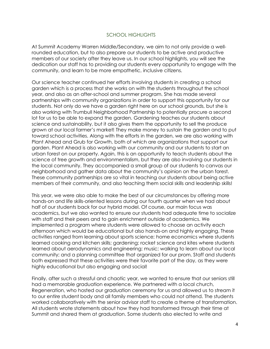#### SCHOOL HIGHLIGHTS

At Summit Academy Warren Middle/Secondary, we aim to not only provide a wellrounded education, but to also prepare our students to be active and productive members of our society after they leave us. In our school highlights, you will see the dedication our staff has to providing our students every opportunity to engage with the community, and learn to be more empathetic, inclusive citizens.

Our science teacher continued her efforts involving students in creating a school garden which is a process that she works on with the students throughout the school year, and also as an after-school and summer program. She has made several partnerships with community organizations in order to support this opportunity for our students. Not only do we have a garden right here on our school grounds, but she is also working with Trumbull Neighborhood Partnership to potentially procure a second lot for us to be able to expand the garden. Gardening teaches our students about science and sustainability, but it also gives them the opportunity to sell the produce grown at our local farmer's market! They make money to sustain the garden and to put toward school activities. Along with the efforts in the garden, we are also working with Plant Ahead and Grub for Growth, both of which are organizations that support our garden. Plant Ahead is also working with our community and our students to start an urban forest on our property. Again, this is an opportunity to teach students about the science of tree growth and environmentalism, but they are also involving our students in the local community. They accompanied a small group of our students to canvas our neighborhood and gather data about the community's opinion on the urban forest. These community partnerships are so vital in teaching our students about being active members of their community, and also teaching them social skills and leadership skills!

This year, we were also able to make the best of our circumstances by offering more hands-on and life skills-oriented lessons during our fourth quarter when we had about half of our students back for our hybrid model. Of course, our main focus was academics, but we also wanted to ensure our students had adequate time to socialize with staff and their peers and to gain enrichment outside of academics. We implemented a program where students were allowed to choose an activity each afternoon which would be educational but also hands-on and highly engaging. These activities ranged from learning about sports science; home economics where students learned cooking and kitchen skills; gardening; rocket science and kites where students learned about aerodynamics and engineering; music; walking to learn about our local community; and a planning committee that organized for our prom. Staff and students both expressed that these activities were their favorite part of the day, as they were highly educational but also engaging and social!

Finally, after such a stressful and chaotic year, we wanted to ensure that our seniors still had a memorable graduation experience. We partnered with a local church, Regeneration, who hosted our graduation ceremony for us and allowed us to stream it to our entire student body and all family members who could not attend. The students worked collaboratively with the senior advisor staff to create a theme of transformation. All students wrote statements about how they had transformed through their time at Summit and shared them at graduation. Some students also elected to write and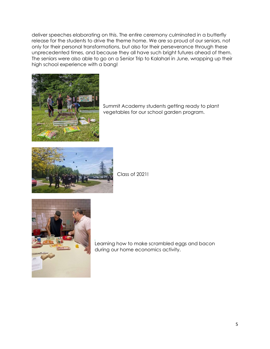deliver speeches elaborating on this. The entire ceremony culminated in a butterfly release for the students to drive the theme home. We are so proud of our seniors, not only for their personal transformations, but also for their perseverance through these unprecedented times, and because they all have such bright futures ahead of them. The seniors were also able to go on a Senior Trip to Kalahari in June, wrapping up their high school experience with a bang!



Summit Academy students getting ready to plant vegetables for our school garden program.



Class of 2021!



J.

Learning how to make scrambled eggs and bacon during our home economics activity.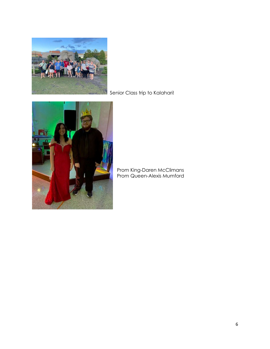

Senior Class trip to Kalahari!



Prom King-Daren McClimans Prom Queen-Alexis Mumford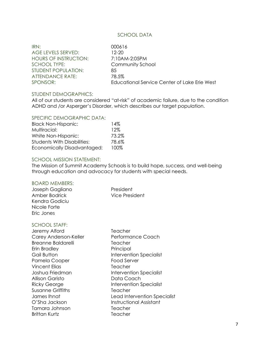#### SCHOOL DATA

IRN: 000616 AGE LEVELS SERVED: 12-20 HOURS OF INSTRUCTION: 7:10AM-2:05PM SCHOOL TYPE: Community School STUDENT POPULATION: 85 ATTENDANCE RATE: 78.5% SPONSOR: Educational Service Center of Lake Erie West

#### STUDENT DEMOGRAPHICS:

All of our students are considered "at-risk" of academic failure, due to the condition ADHD and /or Asperger's Disorder, which describes our target population.

#### SPECIFIC DEMOGRAPHIC DATA:

| <b>Black Non-Hispanic:</b>         | 14%   |
|------------------------------------|-------|
| Multiracial:                       | 12%   |
| White Non-Hispanic:                | 73.2% |
| <b>Students With Disabilities:</b> | 78.6% |
| Economically Disadvantaged:        | 100%  |

#### SCHOOL MISSION STATEMENT:

The Mission of Summit Academy Schools is to build hope, success, and well-being through education and advocacy for students with special needs.

#### BOARD MEMBERS:

| Joseph Gagliano | President      |
|-----------------|----------------|
| Amber Bodrick   | Vice President |
| Kendra Godiciu  |                |
| Nicole Forte    |                |
| Eric Jones      |                |

#### SCHOOL STAFF:

Jeremy Alford Teacher Carey Anderson-Keller Performance Coach Breanne Baldarelli **Teacher** Erin Bradley **Principal** Gail Button **Intervention Specialist** Pamela Cooper Food Server Vincent Elias Teacher Joshua Friedman Intervention Specialist Allison Garisto **Data Coach** Ricky George **Intervention Specialist** Susanne Griffiths Teacher O'Sha Jackson **Instructional Assistant** Tamara Johnson Teacher Brittan Kurtz Teacher

James Ihnat Lead Intervention Specialist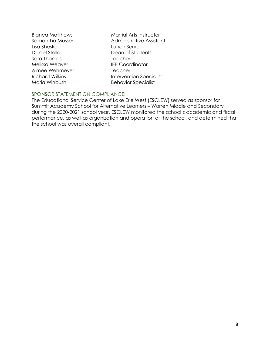- Lisa Shesko Lunch Server Daniel Stella Dean of Students Sara Thomas Teacher Melissa Weaver **IEP Coordinator** Aimee Wehmeyer Teacher Maria Winbush Behavior Specialist
- Bianca Matthews Martial Arts Instructor Samantha Musser **Administrative Assistant** Richard Wilkins **Intervention Specialist**

## SPONSOR STATEMENT ON COMPLIANCE:

The Educational Service Center of Lake Erie West (ESCLEW) served as sponsor for Summit Academy School for Alternative Learners – Warren Middle and Secondary during the 2020-2021 school year. ESCLEW monitored the school's academic and fiscal performance, as well as organization and operation of the school, and determined that the school was overall compliant.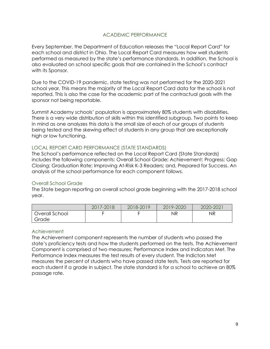### ACADEMIC PERFORMANCE

Every September, the Department of Education releases the "Local Report Card" for each school and district in Ohio. The Local Report Card measures how well students performed as measured by the state's performance standards. In addition, the School is also evaluated on school specific goals that are contained in the School's contract with its Sponsor.

Due to the COVID-19 pandemic, state testing was not performed for the 2020-2021 school year. This means the majority of the Local Report Card data for the school is not reported. This is also the case for the academic part of the contractual goals with the sponsor not being reportable.

Summit Academy schools' population is approximately 80% students with disabilities. There is a very wide distribution of skills within this identified subgroup. Two points to keep in mind as one analyzes this data is the small size of each of our groups of students being tested and the skewing effect of students in any group that are exceptionally high or low functioning.

#### LOCAL REPORT CARD PERFORMANCE (STATE STANDARDS)

The School's performance reflected on the Local Report Card (State Standards) includes the following components: Overall School Grade; Achievement; Progress; Gap Closing; Graduation Rate; Improving At-Risk K-3 Readers; and, Prepared for Success. An analysis of the school performance for each component follows.

## Overall School Grade

The State began reporting an overall school grade beginning with the 2017-2018 school year.

|                | 2017-2018 | 2018-2019 | 2019-2020 | 2020-2021 |
|----------------|-----------|-----------|-----------|-----------|
| Overall School |           |           | ΝR        | ΝR        |
| Grade          |           |           |           |           |

#### Achievement

The Achievement component represents the number of students who passed the state's proficiency tests and how the students performed on the tests. The Achievement Component is comprised of two measures; Performance Index and Indicators Met. The Performance Index measures the test results of every student. The Indictors Met measures the percent of students who have passed state tests. Tests are reported for each student if a grade in subject. The state standard is for a school to achieve an 80% passage rate.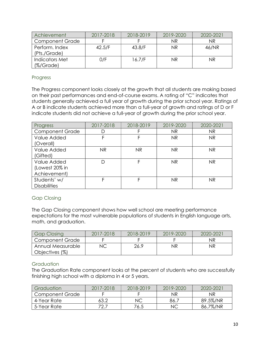| Achievement            | 2017-2018 | 2018-2019 | 2019-2020 | 2020-2021 |
|------------------------|-----------|-----------|-----------|-----------|
| <b>Component Grade</b> |           |           | ΝR        | ΝR        |
| Perform, Index         | 42.5/F    | 43.8/F    | NR.       | 46/NR     |
| (Pts./Grade)           |           |           |           |           |
| Indicators Met         | 0/F       | 16.7/F    | ΝR        | ΝR        |
| $(\% /$ Grade)         |           |           |           |           |

## Progress

The Progress component looks closely at the growth that all students are making based on their past performances and end-of-course exams. A rating of "C" indicates that students generally achieved a full year of growth during the prior school year. Ratings of A or B indicate students achieved more than a full-year of growth and ratings of D or F indicate students did not achieve a full-year of growth during the prior school year.

| Progress                                      | 2017-2018 | 2018-2019 | 2019-2020 | 2020-2021 |
|-----------------------------------------------|-----------|-----------|-----------|-----------|
| <b>Component Grade</b>                        | D         |           | NR        | NR        |
| Value Added<br>(Overall)                      | F         |           | <b>NR</b> | <b>NR</b> |
| Value Added<br>(Gifted)                       | <b>NR</b> | <b>NR</b> | <b>NR</b> | NR.       |
| Value Added<br>(Lowest 20% in<br>Achievement) | D         | F         | <b>NR</b> | <b>NR</b> |
| Students' w/<br><b>Disabilities</b>           | F         |           | <b>NR</b> | <b>NR</b> |

## Gap Closing

The Gap Closing component shows how well school are meeting performance expectations for the most vulnerable populations of students in English language arts, math, and graduation.

| <b>Gap Closing</b>     | 2017-2018 | 2018-2019 | 2019-2020 | 2020-2021 |
|------------------------|-----------|-----------|-----------|-----------|
| <b>Component Grade</b> |           |           |           | ΝR        |
| Annual Measurable      |           | 26.9      | ΝR        | ΝR        |
| Objectives (%)         |           |           |           |           |

## **Graduation**

The Graduation Rate component looks at the percent of students who are successfully finishing high school with a diploma in 4 or 5 years.

| Graduation      | 2017-2018 | 2018-2019 | 2019-2020 | 2020-202 |
|-----------------|-----------|-----------|-----------|----------|
| Component Grade |           |           | ΝR        | NR       |
| 4-Year Rate     | 63.2      | ΝC        | 86.       | 89.5%/NR |
| 5-Year Rate     | 70 7      | 76.5      | NC        | 86.7%/NR |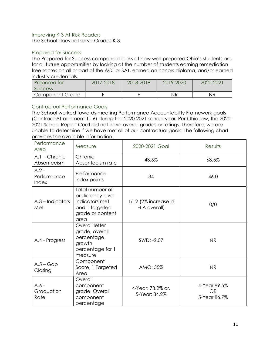#### Improving K-3 At-Risk Readers

The School does not serve Grades K-3.

#### Prepared for Success

The Prepared for Success component looks at how well-prepared Ohio's students are for all future opportunities by looking at the number of students earning remediation free scores on all or part of the ACT or SAT, earned an honors diploma, and/or earned industry credentials.

| Prepared for    | 2017-2018 | 2018-2019 | 2019-2020 | 2020-2021 |
|-----------------|-----------|-----------|-----------|-----------|
| <b>SUCCESS</b>  |           |           |           |           |
| Component Grade |           |           | NR        | ΝR        |

## Contractual Performance Goals

The School worked towards meeting Performance Accountability Framework goals (Contract Attachment 11.6) during the 2020-2021 school year. Per Ohio law, the 2020- 2021 School Report Card did not have overall grades or ratings. Therefore, we are unable to determine if we have met all of our contractual goals. The following chart provides the available information.

| Performance<br>Area             | Measure                                                                                              | 2020-2021 Goal                         | Results                                   |
|---------------------------------|------------------------------------------------------------------------------------------------------|----------------------------------------|-------------------------------------------|
| $A.1 -$ Chronic<br>Absenteeism  | Chronic<br>Absenteeism rate                                                                          | 43.6%                                  | 68.5%                                     |
| $A.2 -$<br>Performance<br>Index | Performance<br>index points                                                                          | 34                                     | 46.0                                      |
| $A.3$ – Indicators<br>Met       | Total number of<br>proficiency level<br>indicators met<br>and 1 targeted<br>grade or content<br>area | $1/12$ (2% increase in<br>ELA overall) | 0/0                                       |
| A.4 - Progress                  | Overall letter<br>grade, overall<br>percentage,<br>growth<br>percentage for 1<br>measure             | SWD: -2.07                             | <b>NR</b>                                 |
| $A.5 - Gap$<br>Closing          | Component<br>Score, 1 Targeted<br>Area                                                               | AMO: 55%                               | N <sub>R</sub>                            |
| $A.6 -$<br>Graduation<br>Rate   | Overall<br>component<br>grade, Overall<br>component<br>percentage                                    | 4-Year: 73.2% or,<br>5-Year: 84.2%     | 4-Year 89.5%<br><b>OR</b><br>5-Year 86.7% |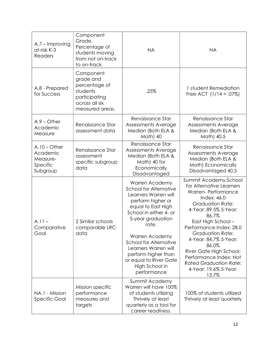| A.7 - Improving<br>at-risk K-3<br><b>Readers</b>               | Component<br>Grade,<br>Percentage of<br>students moving<br>from not on-track<br>to on-track.              | <b>NA</b>                                                                                                                                                                                                                                                                                                                        | <b>NA</b>                                                                                                                                                                                                                                                                                                                                                                                        |
|----------------------------------------------------------------|-----------------------------------------------------------------------------------------------------------|----------------------------------------------------------------------------------------------------------------------------------------------------------------------------------------------------------------------------------------------------------------------------------------------------------------------------------|--------------------------------------------------------------------------------------------------------------------------------------------------------------------------------------------------------------------------------------------------------------------------------------------------------------------------------------------------------------------------------------------------|
| A.8 - Prepared<br>for Success                                  | Component<br>grade and<br>percentage of<br>students<br>participating<br>across all six<br>measured areas. | .25%                                                                                                                                                                                                                                                                                                                             | 1 student Remediation<br>Free ACT $(1/14 = .07\%)$                                                                                                                                                                                                                                                                                                                                               |
| $A.9 - Other$<br>Academic<br>Measure                           | Renaissance Star<br>assessment data                                                                       | Renaissance Star<br>Assessments Average<br>Median (Both ELA &<br>Math) 40                                                                                                                                                                                                                                                        | Renaissance Star<br>Assessments Average<br>Median (Both ELA &<br>Math) 40.5                                                                                                                                                                                                                                                                                                                      |
| $A.10 - Other$<br>Academic<br>Measure-<br>Specific<br>Subgroup | Renaissance Star<br>assessment<br>specific subgroup<br>data                                               | Renaissance Star<br>Assessments Average<br>Median (Both ELA &<br>Math) 40 for<br>Economically<br>Disadvantaged                                                                                                                                                                                                                   | Renaissance Star<br>Assessments Average<br>Median (Both ELA &<br>Math) Economically<br>Disadvantaged 40.5                                                                                                                                                                                                                                                                                        |
| $A.11 -$<br>Comparative<br>Goal                                | 2 Similar schools<br>comparable LRC<br>data                                                               | Warren Academy<br><b>School for Alternative</b><br>Learners Warren will<br>perform higher or<br>equal to East High<br>School in either 4- or<br>5-year graduation<br>rate.<br>Warren Academy<br>School for Alternative<br>Learners Warren will<br>perform higher than<br>or equal to River Gate<br>High School in<br>performance | Summit Academy School<br>for Alternative Learners<br><b>Warren-Performance</b><br>Index: 46.0<br><b>Graduation Rate:</b><br>4-Year: 89.5% 5-Year:<br>86.7%<br>East High School -<br>Performance Index: 28.0<br><b>Graduation Rate:</b><br>4-Year: 84.7% 5-Year:<br>86.0%<br>River Gate High School-<br>Performance Index: Not<br><b>Rated Graduation Rate:</b><br>4-Year: 19.6% 5-Year:<br>15.7% |
| NA.1 - Mission<br><b>Specific Goal</b>                         | Mission specific<br>performance<br>measures and<br>targets                                                | Summit Academy<br>Warren will have 100%<br>of students utilizing<br>Thrively at least<br>quarterly as a tool for<br>career readiness.                                                                                                                                                                                            | 100% of students utilized<br>Thrively at least quarterly                                                                                                                                                                                                                                                                                                                                         |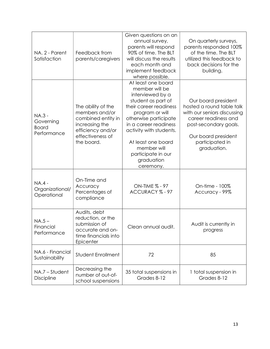| NA. 2 - Parent<br>Satisfaction                            | Feedback from<br>parents/caregivers                                                                                                 | Given questions on an<br>annual survey,<br>parents will respond<br>90% of time. The BLT<br>will discuss the results<br>each month and<br>implement feedback<br>where possible.                                                                                                                 | On quarterly surveys,<br>parents responded 100%<br>of the time. The BLT<br>utilized this feedback to<br>back decisions for the<br>building.                                               |
|-----------------------------------------------------------|-------------------------------------------------------------------------------------------------------------------------------------|------------------------------------------------------------------------------------------------------------------------------------------------------------------------------------------------------------------------------------------------------------------------------------------------|-------------------------------------------------------------------------------------------------------------------------------------------------------------------------------------------|
| <b>NA.3 -</b><br>Governing<br><b>Board</b><br>Performance | The ability of the<br>members and/or<br>combined entity in<br>increasing the<br>efficiency and/or<br>effectiveness of<br>the board. | At least one board<br>member will be<br>interviewed by a<br>student as part of<br>their career readiness<br>program or will<br>otherwise participate<br>in a career readiness<br>activity with students.<br>At least one board<br>member will<br>participate in our<br>graduation<br>ceremony. | Our board president<br>hosted a round table talk<br>with our seniors discussing<br>career readiness and<br>post-secondary goals.<br>Our board president<br>participated in<br>graduation. |
| <b>NA.4-</b><br>Organizational/<br>Operational            | On-Time and<br>Accuracy<br>Percentages of<br>compliance                                                                             | ON-TIME % - 97<br>ACCURACY % - 97                                                                                                                                                                                                                                                              | On-time - 100%<br>Accuracy - 99%                                                                                                                                                          |
| $NA.5 -$<br>Financial<br>Performance                      | Audits, debt<br>reduction, or the<br>submission of<br>accurate and on-<br>time financials into<br>Epicenter                         | Clean annual audit.                                                                                                                                                                                                                                                                            | Audit is currently in<br>progress                                                                                                                                                         |
| NA.6 - Financial<br>Sustainability                        | <b>Student Enrollment</b>                                                                                                           | 72                                                                                                                                                                                                                                                                                             | 85                                                                                                                                                                                        |
| NA.7 - Student<br><b>Discipline</b>                       | Decreasing the<br>number of out-of-<br>school suspensions                                                                           | 35 total suspensions in<br>Grades 8-12                                                                                                                                                                                                                                                         | 1 total suspension in<br>Grades 8-12                                                                                                                                                      |